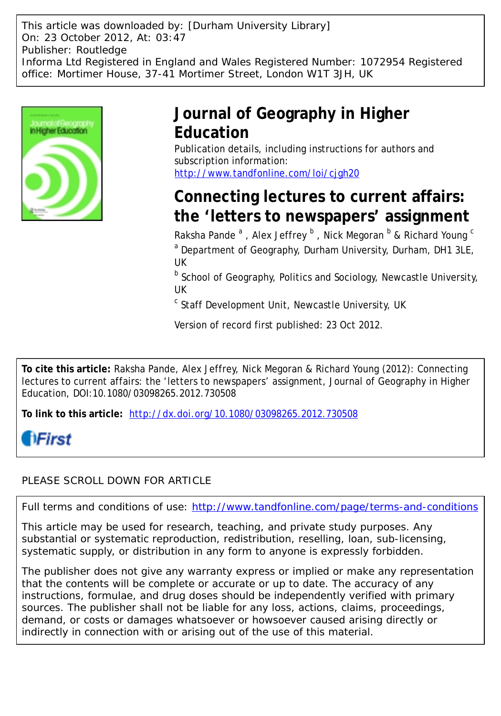This article was downloaded by: [Durham University Library] On: 23 October 2012, At: 03:47 Publisher: Routledge Informa Ltd Registered in England and Wales Registered Number: 1072954 Registered office: Mortimer House, 37-41 Mortimer Street, London W1T 3JH, UK



## **Journal of Geography in Higher Education**

Publication details, including instructions for authors and subscription information: http://www.tandfonline.com/loi/cigh20

## **Connecting lectures to current affairs: the 'letters to newspapers' assignment**

Raksha Pande <sup>a</sup>, Alex Jeffrey <sup>b</sup>, Nick Megoran <sup>b</sup> & Richard Young <sup>c</sup> <sup>a</sup> Department of Geography, Durham University, Durham, DH1 3LE, UK

**b** School of Geography, Politics and Sociology, Newcastle University, UK

<sup>c</sup> Staff Development Unit, Newcastle University, UK

Version of record first published: 23 Oct 2012.

**To cite this article:** Raksha Pande, Alex Jeffrey, Nick Megoran & Richard Young (2012): Connecting lectures to current affairs: the 'letters to newspapers' assignment, Journal of Geography in Higher Education, DOI:10.1080/03098265.2012.730508

**To link to this article:** <http://dx.doi.org/10.1080/03098265.2012.730508>

# **DFirst**

### PLEASE SCROLL DOWN FOR ARTICLE

Full terms and conditions of use:<http://www.tandfonline.com/page/terms-and-conditions>

This article may be used for research, teaching, and private study purposes. Any substantial or systematic reproduction, redistribution, reselling, loan, sub-licensing, systematic supply, or distribution in any form to anyone is expressly forbidden.

The publisher does not give any warranty express or implied or make any representation that the contents will be complete or accurate or up to date. The accuracy of any instructions, formulae, and drug doses should be independently verified with primary sources. The publisher shall not be liable for any loss, actions, claims, proceedings, demand, or costs or damages whatsoever or howsoever caused arising directly or indirectly in connection with or arising out of the use of this material.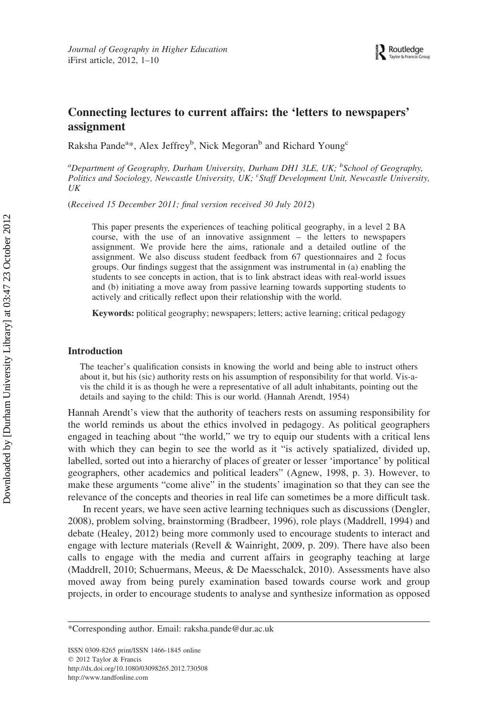### Connecting lectures to current affairs: the 'letters to newspapers' assignment

Raksha Pande<sup>a\*</sup>, Alex Jeffrey<sup>b</sup>, Nick Megoran<sup>b</sup> and Richard Young<sup>c</sup>

<sup>a</sup>Department of Geography, Durham University, Durham DH1 3LE, UK; <sup>b</sup>School of Geography, Politics and Sociology, Newcastle University, UK; <sup>c</sup>Staff Development Unit, Newcastle University, UK

(Received 15 December 2011; final version received 30 July 2012)

This paper presents the experiences of teaching political geography, in a level 2 BA course, with the use of an innovative assignment – the letters to newspapers assignment. We provide here the aims, rationale and a detailed outline of the assignment. We also discuss student feedback from 67 questionnaires and 2 focus groups. Our findings suggest that the assignment was instrumental in (a) enabling the students to see concepts in action, that is to link abstract ideas with real-world issues and (b) initiating a move away from passive learning towards supporting students to actively and critically reflect upon their relationship with the world.

Keywords: political geography; newspapers; letters; active learning; critical pedagogy

#### Introduction

The teacher's qualification consists in knowing the world and being able to instruct others about it, but his (sic) authority rests on his assumption of responsibility for that world. Vis-avis the child it is as though he were a representative of all adult inhabitants, pointing out the details and saying to the child: This is our world. (Hannah Arendt, 1954)

Hannah Arendt's view that the authority of teachers rests on assuming responsibility for the world reminds us about the ethics involved in pedagogy. As political geographers engaged in teaching about "the world," we try to equip our students with a critical lens with which they can begin to see the world as it "is actively spatialized, divided up, labelled, sorted out into a hierarchy of places of greater or lesser 'importance' by political geographers, other academics and political leaders" (Agnew, 1998, p. 3). However, to make these arguments "come alive" in the students' imagination so that they can see the relevance of the concepts and theories in real life can sometimes be a more difficult task.

In recent years, we have seen active learning techniques such as discussions (Dengler, 2008), problem solving, brainstorming (Bradbeer, 1996), role plays (Maddrell, 1994) and debate (Healey, 2012) being more commonly used to encourage students to interact and engage with lecture materials (Revell & Wainright, 2009, p. 209). There have also been calls to engage with the media and current affairs in geography teaching at large (Maddrell, 2010; Schuermans, Meeus, & De Maesschalck, 2010). Assessments have also moved away from being purely examination based towards course work and group projects, in order to encourage students to analyse and synthesize information as opposed

<sup>\*</sup>Corresponding author. Email: raksha.pande@dur.ac.uk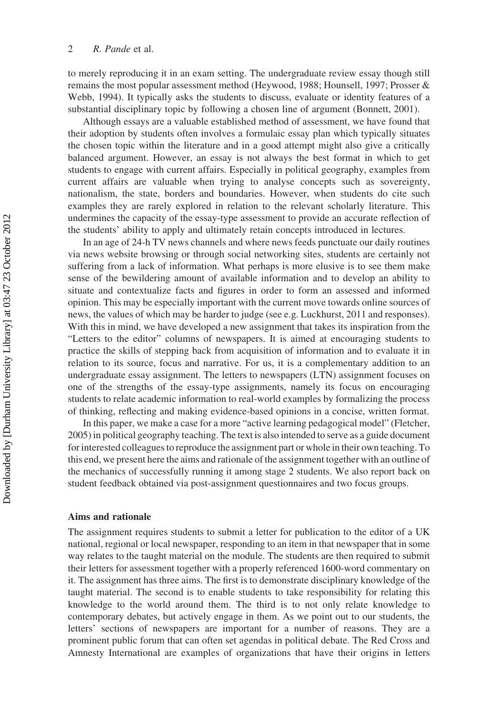to merely reproducing it in an exam setting. The undergraduate review essay though still remains the most popular assessment method (Heywood, 1988; Hounsell, 1997; Prosser & Webb, 1994). It typically asks the students to discuss, evaluate or identity features of a substantial disciplinary topic by following a chosen line of argument (Bonnett, 2001).

Although essays are a valuable established method of assessment, we have found that their adoption by students often involves a formulaic essay plan which typically situates the chosen topic within the literature and in a good attempt might also give a critically balanced argument. However, an essay is not always the best format in which to get students to engage with current affairs. Especially in political geography, examples from current affairs are valuable when trying to analyse concepts such as sovereignty, nationalism, the state, borders and boundaries. However, when students do cite such examples they are rarely explored in relation to the relevant scholarly literature. This undermines the capacity of the essay-type assessment to provide an accurate reflection of the students' ability to apply and ultimately retain concepts introduced in lectures.

In an age of 24-h TV news channels and where news feeds punctuate our daily routines via news website browsing or through social networking sites, students are certainly not suffering from a lack of information. What perhaps is more elusive is to see them make sense of the bewildering amount of available information and to develop an ability to situate and contextualize facts and figures in order to form an assessed and informed opinion. This may be especially important with the current move towards online sources of news, the values of which may be harder to judge (see e.g. Luckhurst, 2011 and responses). With this in mind, we have developed a new assignment that takes its inspiration from the "Letters to the editor" columns of newspapers. It is aimed at encouraging students to practice the skills of stepping back from acquisition of information and to evaluate it in relation to its source, focus and narrative. For us, it is a complementary addition to an undergraduate essay assignment. The letters to newspapers (LTN) assignment focuses on one of the strengths of the essay-type assignments, namely its focus on encouraging students to relate academic information to real-world examples by formalizing the process of thinking, reflecting and making evidence-based opinions in a concise, written format.

In this paper, we make a case for a more "active learning pedagogical model" (Fletcher, 2005) in political geography teaching. The text is also intended to serve as a guide document for interested colleagues to reproduce the assignment part or whole in their own teaching. To this end, we present here the aims and rationale of the assignment together with an outline of the mechanics of successfully running it among stage 2 students. We also report back on student feedback obtained via post-assignment questionnaires and two focus groups.

#### Aims and rationale

The assignment requires students to submit a letter for publication to the editor of a UK national, regional or local newspaper, responding to an item in that newspaper that in some way relates to the taught material on the module. The students are then required to submit their letters for assessment together with a properly referenced 1600-word commentary on it. The assignment has three aims. The first is to demonstrate disciplinary knowledge of the taught material. The second is to enable students to take responsibility for relating this knowledge to the world around them. The third is to not only relate knowledge to contemporary debates, but actively engage in them. As we point out to our students, the letters' sections of newspapers are important for a number of reasons. They are a prominent public forum that can often set agendas in political debate. The Red Cross and Amnesty International are examples of organizations that have their origins in letters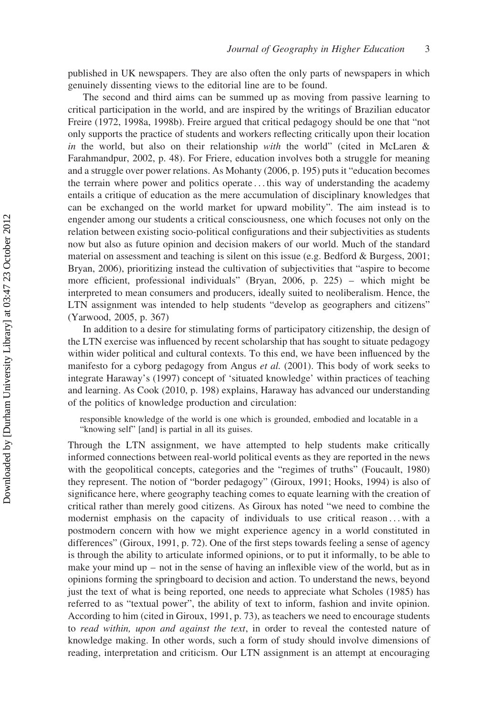published in UK newspapers. They are also often the only parts of newspapers in which genuinely dissenting views to the editorial line are to be found.

The second and third aims can be summed up as moving from passive learning to critical participation in the world, and are inspired by the writings of Brazilian educator Freire (1972, 1998a, 1998b). Freire argued that critical pedagogy should be one that "not only supports the practice of students and workers reflecting critically upon their location in the world, but also on their relationship with the world" (cited in McLaren  $\&$ Farahmandpur, 2002, p. 48). For Friere, education involves both a struggle for meaning and a struggle over power relations. As Mohanty (2006, p. 195) puts it "education becomes the terrain where power and politics operate ... this way of understanding the academy entails a critique of education as the mere accumulation of disciplinary knowledges that can be exchanged on the world market for upward mobility". The aim instead is to engender among our students a critical consciousness, one which focuses not only on the relation between existing socio-political configurations and their subjectivities as students now but also as future opinion and decision makers of our world. Much of the standard material on assessment and teaching is silent on this issue (e.g. Bedford & Burgess, 2001; Bryan, 2006), prioritizing instead the cultivation of subjectivities that "aspire to become more efficient, professional individuals" (Bryan, 2006, p. 225) – which might be interpreted to mean consumers and producers, ideally suited to neoliberalism. Hence, the LTN assignment was intended to help students "develop as geographers and citizens" (Yarwood, 2005, p. 367)

In addition to a desire for stimulating forms of participatory citizenship, the design of the LTN exercise was influenced by recent scholarship that has sought to situate pedagogy within wider political and cultural contexts. To this end, we have been influenced by the manifesto for a cyborg pedagogy from Angus et al. (2001). This body of work seeks to integrate Haraway's (1997) concept of 'situated knowledge' within practices of teaching and learning. As Cook (2010, p. 198) explains, Haraway has advanced our understanding of the politics of knowledge production and circulation:

responsible knowledge of the world is one which is grounded, embodied and locatable in a "knowing self" [and] is partial in all its guises.

Through the LTN assignment, we have attempted to help students make critically informed connections between real-world political events as they are reported in the news with the geopolitical concepts, categories and the "regimes of truths" (Foucault, 1980) they represent. The notion of "border pedagogy" (Giroux, 1991; Hooks, 1994) is also of significance here, where geography teaching comes to equate learning with the creation of critical rather than merely good citizens. As Giroux has noted "we need to combine the modernist emphasis on the capacity of individuals to use critical reason ... with a postmodern concern with how we might experience agency in a world constituted in differences" (Giroux, 1991, p. 72). One of the first steps towards feeling a sense of agency is through the ability to articulate informed opinions, or to put it informally, to be able to make your mind up – not in the sense of having an inflexible view of the world, but as in opinions forming the springboard to decision and action. To understand the news, beyond just the text of what is being reported, one needs to appreciate what Scholes (1985) has referred to as "textual power", the ability of text to inform, fashion and invite opinion. According to him (cited in Giroux, 1991, p. 73), as teachers we need to encourage students to read within, upon and against the text, in order to reveal the contested nature of knowledge making. In other words, such a form of study should involve dimensions of reading, interpretation and criticism. Our LTN assignment is an attempt at encouraging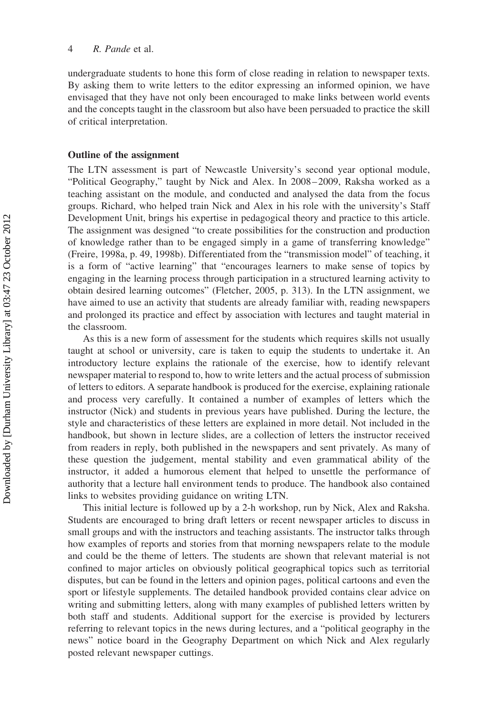undergraduate students to hone this form of close reading in relation to newspaper texts. By asking them to write letters to the editor expressing an informed opinion, we have envisaged that they have not only been encouraged to make links between world events and the concepts taught in the classroom but also have been persuaded to practice the skill of critical interpretation.

#### Outline of the assignment

The LTN assessment is part of Newcastle University's second year optional module, "Political Geography," taught by Nick and Alex. In 2008–2009, Raksha worked as a teaching assistant on the module, and conducted and analysed the data from the focus groups. Richard, who helped train Nick and Alex in his role with the university's Staff Development Unit, brings his expertise in pedagogical theory and practice to this article. The assignment was designed "to create possibilities for the construction and production of knowledge rather than to be engaged simply in a game of transferring knowledge" (Freire, 1998a, p. 49, 1998b). Differentiated from the "transmission model" of teaching, it is a form of "active learning" that "encourages learners to make sense of topics by engaging in the learning process through participation in a structured learning activity to obtain desired learning outcomes" (Fletcher, 2005, p. 313). In the LTN assignment, we have aimed to use an activity that students are already familiar with, reading newspapers and prolonged its practice and effect by association with lectures and taught material in the classroom.

As this is a new form of assessment for the students which requires skills not usually taught at school or university, care is taken to equip the students to undertake it. An introductory lecture explains the rationale of the exercise, how to identify relevant newspaper material to respond to, how to write letters and the actual process of submission of letters to editors. A separate handbook is produced for the exercise, explaining rationale and process very carefully. It contained a number of examples of letters which the instructor (Nick) and students in previous years have published. During the lecture, the style and characteristics of these letters are explained in more detail. Not included in the handbook, but shown in lecture slides, are a collection of letters the instructor received from readers in reply, both published in the newspapers and sent privately. As many of these question the judgement, mental stability and even grammatical ability of the instructor, it added a humorous element that helped to unsettle the performance of authority that a lecture hall environment tends to produce. The handbook also contained links to websites providing guidance on writing LTN.

This initial lecture is followed up by a 2-h workshop, run by Nick, Alex and Raksha. Students are encouraged to bring draft letters or recent newspaper articles to discuss in small groups and with the instructors and teaching assistants. The instructor talks through how examples of reports and stories from that morning newspapers relate to the module and could be the theme of letters. The students are shown that relevant material is not confined to major articles on obviously political geographical topics such as territorial disputes, but can be found in the letters and opinion pages, political cartoons and even the sport or lifestyle supplements. The detailed handbook provided contains clear advice on writing and submitting letters, along with many examples of published letters written by both staff and students. Additional support for the exercise is provided by lecturers referring to relevant topics in the news during lectures, and a "political geography in the news" notice board in the Geography Department on which Nick and Alex regularly posted relevant newspaper cuttings.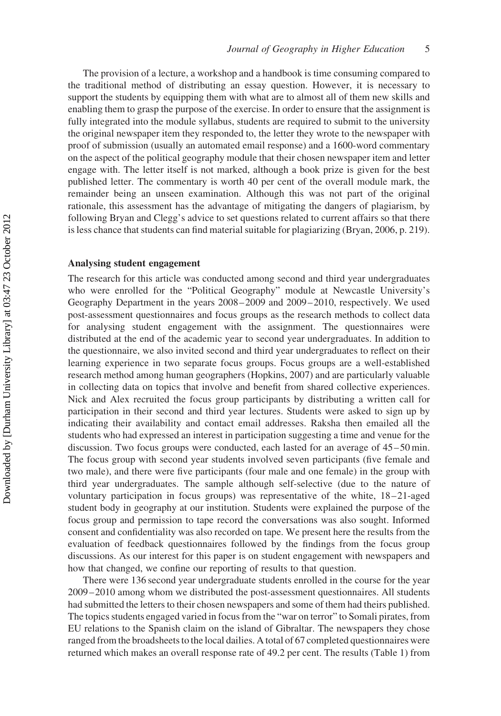The provision of a lecture, a workshop and a handbook is time consuming compared to the traditional method of distributing an essay question. However, it is necessary to support the students by equipping them with what are to almost all of them new skills and enabling them to grasp the purpose of the exercise. In order to ensure that the assignment is fully integrated into the module syllabus, students are required to submit to the university the original newspaper item they responded to, the letter they wrote to the newspaper with proof of submission (usually an automated email response) and a 1600-word commentary on the aspect of the political geography module that their chosen newspaper item and letter engage with. The letter itself is not marked, although a book prize is given for the best published letter. The commentary is worth 40 per cent of the overall module mark, the remainder being an unseen examination. Although this was not part of the original rationale, this assessment has the advantage of mitigating the dangers of plagiarism, by following Bryan and Clegg's advice to set questions related to current affairs so that there is less chance that students can find material suitable for plagiarizing (Bryan, 2006, p. 219).

#### Analysing student engagement

The research for this article was conducted among second and third year undergraduates who were enrolled for the "Political Geography" module at Newcastle University's Geography Department in the years 2008–2009 and 2009–2010, respectively. We used post-assessment questionnaires and focus groups as the research methods to collect data for analysing student engagement with the assignment. The questionnaires were distributed at the end of the academic year to second year undergraduates. In addition to the questionnaire, we also invited second and third year undergraduates to reflect on their learning experience in two separate focus groups. Focus groups are a well-established research method among human geographers (Hopkins, 2007) and are particularly valuable in collecting data on topics that involve and benefit from shared collective experiences. Nick and Alex recruited the focus group participants by distributing a written call for participation in their second and third year lectures. Students were asked to sign up by indicating their availability and contact email addresses. Raksha then emailed all the students who had expressed an interest in participation suggesting a time and venue for the discussion. Two focus groups were conducted, each lasted for an average of 45–50 min. The focus group with second year students involved seven participants (five female and two male), and there were five participants (four male and one female) in the group with third year undergraduates. The sample although self-selective (due to the nature of voluntary participation in focus groups) was representative of the white, 18–21-aged student body in geography at our institution. Students were explained the purpose of the focus group and permission to tape record the conversations was also sought. Informed consent and confidentiality was also recorded on tape. We present here the results from the evaluation of feedback questionnaires followed by the findings from the focus group discussions. As our interest for this paper is on student engagement with newspapers and how that changed, we confine our reporting of results to that question.

There were 136 second year undergraduate students enrolled in the course for the year 2009–2010 among whom we distributed the post-assessment questionnaires. All students had submitted the letters to their chosen newspapers and some of them had theirs published. The topics students engaged varied in focus from the "war on terror" to Somali pirates, from EU relations to the Spanish claim on the island of Gibraltar. The newspapers they chose ranged from the broadsheets to the local dailies. A total of 67 completed questionnaires were returned which makes an overall response rate of 49.2 per cent. The results (Table 1) from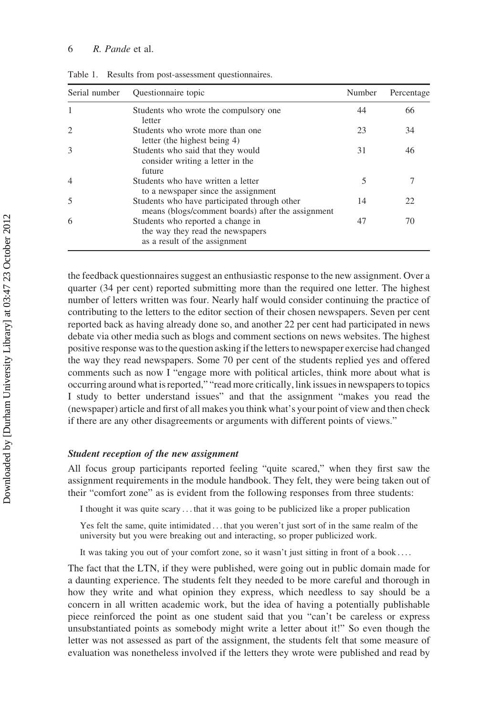| Serial number  | Questionnaire topic                                                                                    | Number | Percentage |
|----------------|--------------------------------------------------------------------------------------------------------|--------|------------|
| 1              | Students who wrote the compulsory one<br>letter                                                        | 44     | 66         |
| 2              | Students who wrote more than one<br>letter (the highest being 4)                                       | 23     | 34         |
| 3              | Students who said that they would<br>consider writing a letter in the<br>future                        | 31     | 46         |
| $\overline{4}$ | Students who have written a letter<br>to a newspaper since the assignment                              | 5      |            |
| 5              | Students who have participated through other<br>means (blogs/comment boards) after the assignment      | 14     | 22         |
| 6              | Students who reported a change in<br>the way they read the newspapers<br>as a result of the assignment | 47     | 70         |

Table 1. Results from post-assessment questionnaires.

the feedback questionnaires suggest an enthusiastic response to the new assignment. Over a quarter (34 per cent) reported submitting more than the required one letter. The highest number of letters written was four. Nearly half would consider continuing the practice of contributing to the letters to the editor section of their chosen newspapers. Seven per cent reported back as having already done so, and another 22 per cent had participated in news debate via other media such as blogs and comment sections on news websites. The highest positive response was to the question asking if the letters to newspaper exercise had changed the way they read newspapers. Some 70 per cent of the students replied yes and offered comments such as now I "engage more with political articles, think more about what is occurring around what is reported," "read more critically, link issues in newspapers to topics I study to better understand issues" and that the assignment "makes you read the (newspaper) article and first of all makes you think what's your point of view and then check if there are any other disagreements or arguments with different points of views."

#### Student reception of the new assignment

All focus group participants reported feeling "quite scared," when they first saw the assignment requirements in the module handbook. They felt, they were being taken out of their "comfort zone" as is evident from the following responses from three students:

I thought it was quite scary ... that it was going to be publicized like a proper publication

Yes felt the same, quite intimidated ... that you weren't just sort of in the same realm of the university but you were breaking out and interacting, so proper publicized work.

It was taking you out of your comfort zone, so it wasn't just sitting in front of a book ... .

The fact that the LTN, if they were published, were going out in public domain made for a daunting experience. The students felt they needed to be more careful and thorough in how they write and what opinion they express, which needless to say should be a concern in all written academic work, but the idea of having a potentially publishable piece reinforced the point as one student said that you "can't be careless or express unsubstantiated points as somebody might write a letter about it!" So even though the letter was not assessed as part of the assignment, the students felt that some measure of evaluation was nonetheless involved if the letters they wrote were published and read by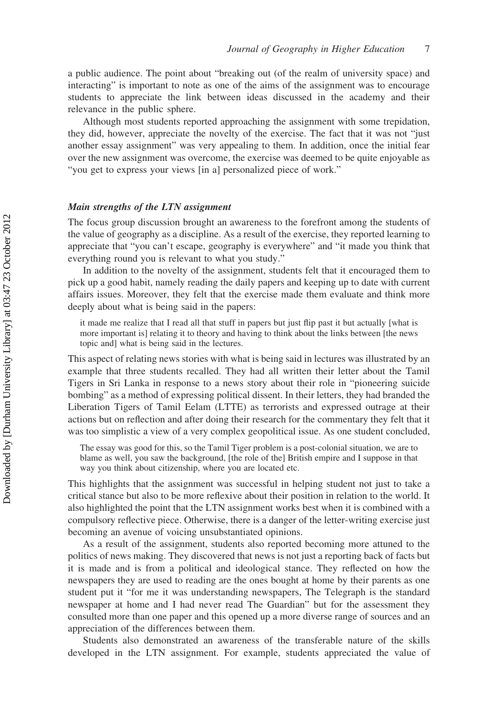a public audience. The point about "breaking out (of the realm of university space) and interacting" is important to note as one of the aims of the assignment was to encourage students to appreciate the link between ideas discussed in the academy and their relevance in the public sphere.

Although most students reported approaching the assignment with some trepidation, they did, however, appreciate the novelty of the exercise. The fact that it was not "just another essay assignment" was very appealing to them. In addition, once the initial fear over the new assignment was overcome, the exercise was deemed to be quite enjoyable as "you get to express your views [in a] personalized piece of work."

#### Main strengths of the LTN assignment

The focus group discussion brought an awareness to the forefront among the students of the value of geography as a discipline. As a result of the exercise, they reported learning to appreciate that "you can't escape, geography is everywhere" and "it made you think that everything round you is relevant to what you study."

In addition to the novelty of the assignment, students felt that it encouraged them to pick up a good habit, namely reading the daily papers and keeping up to date with current affairs issues. Moreover, they felt that the exercise made them evaluate and think more deeply about what is being said in the papers:

it made me realize that I read all that stuff in papers but just flip past it but actually [what is more important is] relating it to theory and having to think about the links between [the news topic and] what is being said in the lectures.

This aspect of relating news stories with what is being said in lectures was illustrated by an example that three students recalled. They had all written their letter about the Tamil Tigers in Sri Lanka in response to a news story about their role in "pioneering suicide bombing" as a method of expressing political dissent. In their letters, they had branded the Liberation Tigers of Tamil Eelam (LTTE) as terrorists and expressed outrage at their actions but on reflection and after doing their research for the commentary they felt that it was too simplistic a view of a very complex geopolitical issue. As one student concluded,

The essay was good for this, so the Tamil Tiger problem is a post-colonial situation, we are to blame as well, you saw the background, [the role of the] British empire and I suppose in that way you think about citizenship, where you are located etc.

This highlights that the assignment was successful in helping student not just to take a critical stance but also to be more reflexive about their position in relation to the world. It also highlighted the point that the LTN assignment works best when it is combined with a compulsory reflective piece. Otherwise, there is a danger of the letter-writing exercise just becoming an avenue of voicing unsubstantiated opinions.

As a result of the assignment, students also reported becoming more attuned to the politics of news making. They discovered that news is not just a reporting back of facts but it is made and is from a political and ideological stance. They reflected on how the newspapers they are used to reading are the ones bought at home by their parents as one student put it "for me it was understanding newspapers, The Telegraph is the standard newspaper at home and I had never read The Guardian" but for the assessment they consulted more than one paper and this opened up a more diverse range of sources and an appreciation of the differences between them.

Students also demonstrated an awareness of the transferable nature of the skills developed in the LTN assignment. For example, students appreciated the value of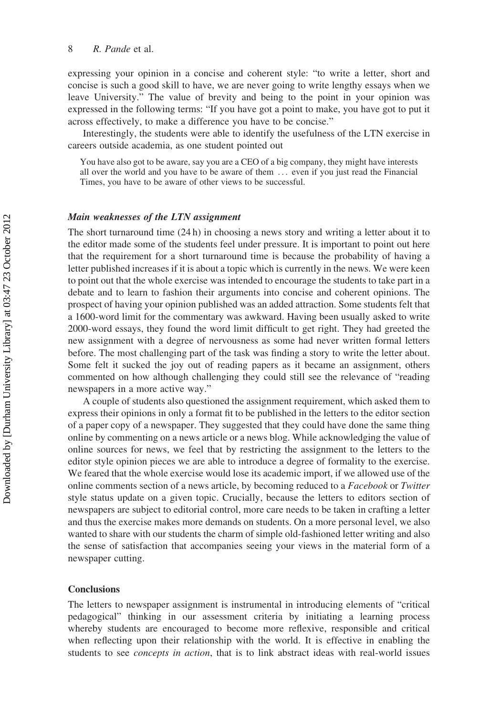expressing your opinion in a concise and coherent style: "to write a letter, short and concise is such a good skill to have, we are never going to write lengthy essays when we leave University." The value of brevity and being to the point in your opinion was expressed in the following terms: "If you have got a point to make, you have got to put it across effectively, to make a difference you have to be concise."

Interestingly, the students were able to identify the usefulness of the LTN exercise in careers outside academia, as one student pointed out

You have also got to be aware, say you are a CEO of a big company, they might have interests all over the world and you have to be aware of them ... even if you just read the Financial Times, you have to be aware of other views to be successful.

#### Main weaknesses of the LTN assignment

The short turnaround time  $(24 h)$  in choosing a news story and writing a letter about it to the editor made some of the students feel under pressure. It is important to point out here that the requirement for a short turnaround time is because the probability of having a letter published increases if it is about a topic which is currently in the news. We were keen to point out that the whole exercise was intended to encourage the students to take part in a debate and to learn to fashion their arguments into concise and coherent opinions. The prospect of having your opinion published was an added attraction. Some students felt that a 1600-word limit for the commentary was awkward. Having been usually asked to write 2000-word essays, they found the word limit difficult to get right. They had greeted the new assignment with a degree of nervousness as some had never written formal letters before. The most challenging part of the task was finding a story to write the letter about. Some felt it sucked the joy out of reading papers as it became an assignment, others commented on how although challenging they could still see the relevance of "reading newspapers in a more active way."

A couple of students also questioned the assignment requirement, which asked them to express their opinions in only a format fit to be published in the letters to the editor section of a paper copy of a newspaper. They suggested that they could have done the same thing online by commenting on a news article or a news blog. While acknowledging the value of online sources for news, we feel that by restricting the assignment to the letters to the editor style opinion pieces we are able to introduce a degree of formality to the exercise. We feared that the whole exercise would lose its academic import, if we allowed use of the online comments section of a news article, by becoming reduced to a Facebook or Twitter style status update on a given topic. Crucially, because the letters to editors section of newspapers are subject to editorial control, more care needs to be taken in crafting a letter and thus the exercise makes more demands on students. On a more personal level, we also wanted to share with our students the charm of simple old-fashioned letter writing and also the sense of satisfaction that accompanies seeing your views in the material form of a newspaper cutting.

#### **Conclusions**

The letters to newspaper assignment is instrumental in introducing elements of "critical pedagogical" thinking in our assessment criteria by initiating a learning process whereby students are encouraged to become more reflexive, responsible and critical when reflecting upon their relationship with the world. It is effective in enabling the students to see concepts in action, that is to link abstract ideas with real-world issues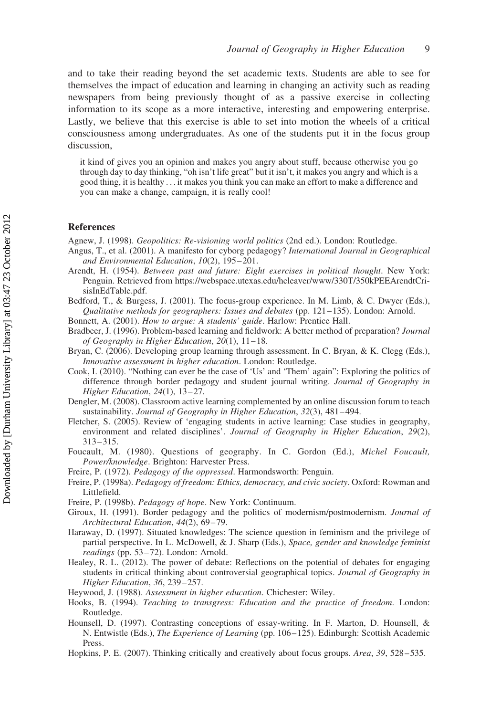and to take their reading beyond the set academic texts. Students are able to see for themselves the impact of education and learning in changing an activity such as reading newspapers from being previously thought of as a passive exercise in collecting information to its scope as a more interactive, interesting and empowering enterprise. Lastly, we believe that this exercise is able to set into motion the wheels of a critical consciousness among undergraduates. As one of the students put it in the focus group discussion,

it kind of gives you an opinion and makes you angry about stuff, because otherwise you go through day to day thinking, "oh isn't life great" but it isn't, it makes you angry and which is a good thing, it is healthy ... it makes you think you can make an effort to make a difference and you can make a change, campaign, it is really cool!

#### References

Agnew, J. (1998). Geopolitics: Re-visioning world politics (2nd ed.). London: Routledge.

- Angus, T., et al. (2001). A manifesto for cyborg pedagogy? International Journal in Geographical and Environmental Education, 10(2), 195–201.
- Arendt, H. (1954). Between past and future: Eight exercises in political thought. New York: Penguin. Retrieved from [https://webspace.utexas.edu/hcleaver/www/330T/350kPEEArendtCri](https://webspace.utexas.edu/hcleaver/www/330T/350kPEEArendtCrisisInEdTable.pdf)[sisInEdTable.pdf.](https://webspace.utexas.edu/hcleaver/www/330T/350kPEEArendtCrisisInEdTable.pdf)
- Bedford, T., & Burgess, J. (2001). The focus-group experience. In M. Limb, & C. Dwyer (Eds.), Qualitative methods for geographers: Issues and debates (pp. 121–135). London: Arnold.
- Bonnett, A. (2001). How to argue: A students' guide. Harlow: Prentice Hall.
- Bradbeer, J. (1996). Problem-based learning and fieldwork: A better method of preparation? Journal of Geography in Higher Education, 20(1), 11–18.
- Bryan, C. (2006). Developing group learning through assessment. In C. Bryan, & K. Clegg (Eds.), Innovative assessment in higher education. London: Routledge.
- Cook, I. (2010). "Nothing can ever be the case of 'Us' and 'Them' again": Exploring the politics of difference through border pedagogy and student journal writing. Journal of Geography in Higher Education, 24(1), 13–27.
- Dengler, M. (2008). Classroom active learning complemented by an online discussion forum to teach sustainability. Journal of Geography in Higher Education, 32(3), 481–494.
- Fletcher, S. (2005). Review of 'engaging students in active learning: Case studies in geography, environment and related disciplines'. Journal of Geography in Higher Education, 29(2), 313–315.
- Foucault, M. (1980). Questions of geography. In C. Gordon (Ed.), Michel Foucault, Power/knowledge. Brighton: Harvester Press.
- Freire, P. (1972). Pedagogy of the oppressed. Harmondsworth: Penguin.
- Freire, P. (1998a). Pedagogy of freedom: Ethics, democracy, and civic society. Oxford: Rowman and Littlefield.
- Freire, P. (1998b). Pedagogy of hope. New York: Continuum.
- Giroux, H. (1991). Border pedagogy and the politics of modernism/postmodernism. Journal of Architectural Education, 44(2), 69–79.
- Haraway, D. (1997). Situated knowledges: The science question in feminism and the privilege of partial perspective. In L. McDowell, & J. Sharp (Eds.), Space, gender and knowledge feminist readings (pp. 53–72). London: Arnold.
- Healey, R. L. (2012). The power of debate: Reflections on the potential of debates for engaging students in critical thinking about controversial geographical topics. Journal of Geography in Higher Education, 36, 239–257.
- Heywood, J. (1988). Assessment in higher education. Chichester: Wiley.
- Hooks, B. (1994). Teaching to transgress: Education and the practice of freedom. London: Routledge.
- Hounsell, D. (1997). Contrasting conceptions of essay-writing. In F. Marton, D. Hounsell, & N. Entwistle (Eds.), The Experience of Learning (pp. 106–125). Edinburgh: Scottish Academic Press.
- Hopkins, P. E. (2007). Thinking critically and creatively about focus groups. Area, 39, 528–535.